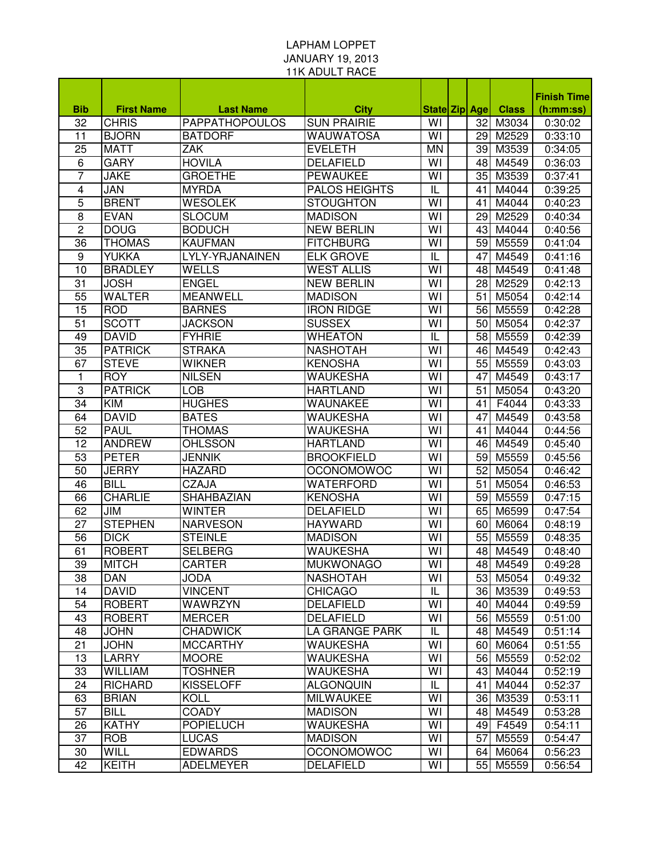## LAPHAM LOPPET JANUARY 19, 2013 11K ADULT RACE

|            |                   |                       |                      |                         |                 |              | <b>Finish Time</b> |
|------------|-------------------|-----------------------|----------------------|-------------------------|-----------------|--------------|--------------------|
| <b>Bib</b> | <b>First Name</b> | <b>Last Name</b>      | <b>City</b>          | <b>State Zip Age</b>    |                 | <b>Class</b> | (h:mm:ss)          |
| 32         | <b>CHRIS</b>      | <b>PAPPATHOPOULOS</b> | <b>SUN PRAIRIE</b>   | WI                      | 32              | M3034        | 0:30:02            |
| 11         | <b>BJORN</b>      | <b>BATDORF</b>        | <b>WAUWATOSA</b>     | $\overline{\mathsf{W}}$ | 29              | M2529        | 0:33:10            |
| 25         | <b>MATT</b>       | <b>ZAK</b>            | <b>EVELETH</b>       | <b>MN</b>               | 39              | M3539        | 0:34:05            |
| 6          | <b>GARY</b>       | <b>HOVILA</b>         | <b>DELAFIELD</b>     | WI                      | 48              | M4549        | 0:36:03            |
| 7          | <b>JAKE</b>       | <b>GROETHE</b>        | <b>PEWAUKEE</b>      | WI                      | 35              | M3539        | 0:37:41            |
| 4          | <b>JAN</b>        | <b>MYRDA</b>          | <b>PALOS HEIGHTS</b> | IL                      | 41              | M4044        | 0:39:25            |
| 5          | <b>BRENT</b>      | <b>WESOLEK</b>        | <b>STOUGHTON</b>     | WI                      | 41              | M4044        | 0:40:23            |
| 8          | <b>EVAN</b>       | <b>SLOCUM</b>         | <b>MADISON</b>       | WI                      | 29              | M2529        | 0:40:34            |
| 2          | <b>DOUG</b>       | <b>BODUCH</b>         | <b>NEW BERLIN</b>    | WI                      | 43              | M4044        | 0:40:56            |
| 36         | <b>THOMAS</b>     | <b>KAUFMAN</b>        | <b>FITCHBURG</b>     | WI                      | 59              | M5559        | 0:41:04            |
| 9          | <b>YUKKA</b>      | LYLY-YRJANAINEN       | <b>ELK GROVE</b>     | IL                      | 47              | M4549        | 0:41:16            |
| 10         | <b>BRADLEY</b>    | WELLS                 | <b>WEST ALLIS</b>    | WI                      | 48              | M4549        | 0:41:48            |
| 31         | <b>JOSH</b>       | <b>ENGEL</b>          | <b>NEW BERLIN</b>    | WI                      | 28              | M2529        | 0:42:13            |
| 55         | <b>WALTER</b>     | <b>MEANWELL</b>       | <b>MADISON</b>       | WI                      | 51              | M5054        | 0:42:14            |
| 15         | <b>ROD</b>        | <b>BARNES</b>         | <b>IRON RIDGE</b>    | WI                      | 56              | M5559        | 0:42:28            |
| 51         | <b>SCOTT</b>      | <b>JACKSON</b>        | <b>SUSSEX</b>        | WI                      | 50              | M5054        | 0:42:37            |
| 49         | <b>DAVID</b>      | <b>FYHRIE</b>         | <b>WHEATON</b>       | IL                      | 58              | M5559        | 0:42:39            |
| 35         | <b>PATRICK</b>    | <b>STRAKA</b>         | <b>NASHOTAH</b>      | WI                      | 46              | M4549        | 0:42:43            |
| 67         | <b>STEVE</b>      | <b>WIKNER</b>         | <b>KENOSHA</b>       | WI                      | 55              | M5559        | 0:43:03            |
| 1          | <b>ROY</b>        | <b>NILSEN</b>         | <b>WAUKESHA</b>      | WI                      | 47              | M4549        | 0:43:17            |
| 3          | <b>PATRICK</b>    | <b>LOB</b>            | <b>HARTLAND</b>      | WI                      | 51              | M5054        | 0:43:20            |
| 34         | <b>KIM</b>        | <b>HUGHES</b>         | WAUNAKEE             | WI                      | 41              | F4044        | 0:43:33            |
| 64         | <b>DAVID</b>      | <b>BATES</b>          | <b>WAUKESHA</b>      | $\overline{\mathsf{W}}$ | 47              | M4549        | 0:43:58            |
| 52         | <b>PAUL</b>       | <b>THOMAS</b>         | <b>WAUKESHA</b>      | $\overline{\mathsf{W}}$ | 41              | M4044        | 0:44:56            |
| 12         | <b>ANDREW</b>     | <b>OHLSSON</b>        | <b>HARTLAND</b>      | $\overline{\mathsf{W}}$ | 46              | M4549        | 0:45:40            |
| 53         | <b>PETER</b>      | <b>JENNIK</b>         | <b>BROOKFIELD</b>    | $\overline{\mathsf{W}}$ | 59              | M5559        | 0:45:56            |
| 50         | <b>JERRY</b>      | <b>HAZARD</b>         | <b>OCONOMOWOC</b>    | $\overline{\mathsf{W}}$ | 52              | M5054        | 0:46:42            |
| 46         | <b>BILL</b>       | CZAJA                 | <b>WATERFORD</b>     | $\overline{\mathsf{W}}$ | 51              | M5054        | 0:46:53            |
| 66         | <b>CHARLIE</b>    | SHAHBAZIAN            | <b>KENOSHA</b>       | WI                      | 59              | M5559        | 0:47:15            |
| 62         | <b>JIM</b>        | <b>WINTER</b>         | <b>DELAFIELD</b>     | WI                      | 65              | M6599        | 0:47:54            |
| 27         | <b>STEPHEN</b>    | <b>NARVESON</b>       | <b>HAYWARD</b>       | WI                      | 60              | M6064        | 0:48:19            |
| 56         | <b>DICK</b>       | <b>STEINLE</b>        | <b>MADISON</b>       | WI                      | 55              | M5559        | 0:48:35            |
| 61         | <b>ROBERT</b>     | <b>SELBERG</b>        | <b>WAUKESHA</b>      | WI                      | 48              | M4549        | 0:48:40            |
| 39         | <b>MITCH</b>      | <b>CARTER</b>         | <b>MUKWONAGO</b>     | $\overline{\mathsf{W}}$ |                 | 48 M4549     | 0:49:28            |
| 38         | <b>DAN</b>        | <b>JODA</b>           | <b>NASHOTAH</b>      | WI                      |                 | 53 M5054     | 0:49:32            |
| 14         | <b>DAVID</b>      | <b>VINCENT</b>        | <b>CHICAGO</b>       | IL                      |                 | 36 M3539     | 0:49:53            |
| 54         | <b>ROBERT</b>     | WAWRZYN               | <b>DELAFIELD</b>     | WI                      |                 | 40 M4044     | 0:49:59            |
| 43         | <b>ROBERT</b>     | <b>MERCER</b>         | <b>DELAFIELD</b>     | WI                      |                 | 56 M5559     | 0:51:00            |
| 48         | <b>JOHN</b>       | <b>CHADWICK</b>       | LA GRANGE PARK       | IL                      |                 | 48 M4549     | 0:51:14            |
| 21         | <b>JOHN</b>       | <b>MCCARTHY</b>       | <b>WAUKESHA</b>      | WI                      |                 | 60 M6064     | 0:51:55            |
| 13         | <b>LARRY</b>      | <b>MOORE</b>          | <b>WAUKESHA</b>      | WI                      |                 | 56 M5559     | 0:52:02            |
| 33         | <b>WILLIAM</b>    | <b>TOSHNER</b>        | <b>WAUKESHA</b>      | WI                      | 43              | M4044        | 0:52:19            |
| 24         | <b>RICHARD</b>    | <b>KISSELOFF</b>      | <b>ALGONQUIN</b>     | IL                      | 41              | M4044        | 0:52:37            |
| 63         | <b>BRIAN</b>      | <b>KOLL</b>           | <b>MILWAUKEE</b>     | WI                      |                 | 36 M3539     | 0:53:11            |
| 57         | <b>BILL</b>       | <b>COADY</b>          | <b>MADISON</b>       | WI                      | 48              | M4549        | 0:53:28            |
| 26         | <b>KATHY</b>      | <b>POPIELUCH</b>      | <b>WAUKESHA</b>      | WI                      |                 | 49 F4549     | 0:54:11            |
| 37         | <b>ROB</b>        | <b>LUCAS</b>          | <b>MADISON</b>       | WI                      | 57 <sub>l</sub> | M5559        | 0:54:47            |
| 30         | <b>WILL</b>       | <b>EDWARDS</b>        | <b>OCONOMOWOC</b>    | WI                      | 64 I            | M6064        | 0:56:23            |
| 42         | <b>KEITH</b>      | <b>ADELMEYER</b>      | <b>DELAFIELD</b>     | WI                      | 55              | M5559        | 0:56:54            |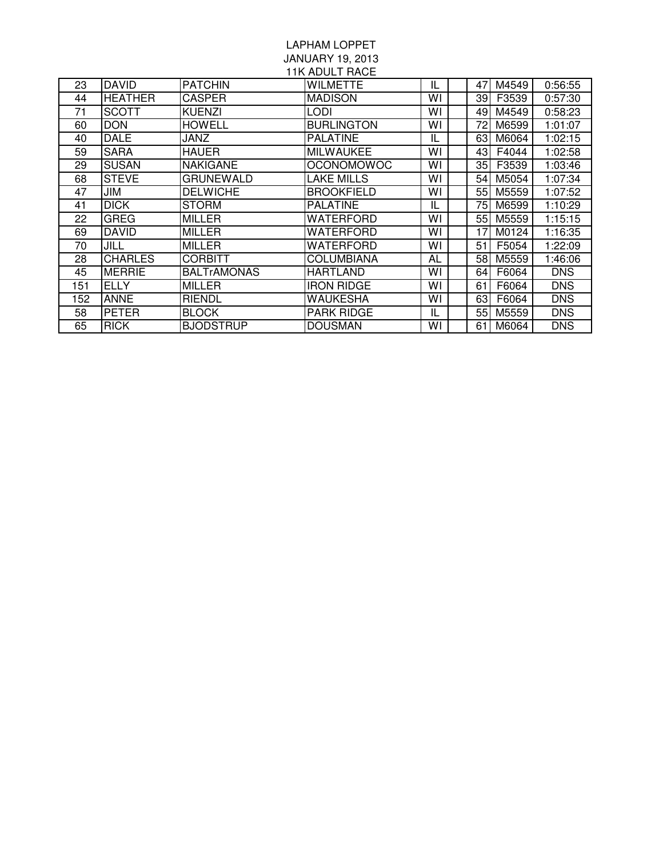## LAPHAM LOPPET JANUARY 19, 2013

| <b>11K ADULT RACE</b> |                |                    |                   |    |      |       |            |  |  |  |  |
|-----------------------|----------------|--------------------|-------------------|----|------|-------|------------|--|--|--|--|
| 23                    | <b>DAVID</b>   | <b>PATCHIN</b>     | <b>WILMETTE</b>   | IL | 47   | M4549 | 0:56:55    |  |  |  |  |
| 44                    | <b>HEATHER</b> | CASPER             | <b>MADISON</b>    | W١ | 39   | F3539 | 0:57:30    |  |  |  |  |
| 71                    | <b>SCOTT</b>   | <b>KUENZI</b>      | LODI              | W١ | 49   | M4549 | 0:58:23    |  |  |  |  |
| 60                    | <b>DON</b>     | <b>HOWELL</b>      | <b>BURLINGTON</b> | W١ | 72   | M6599 | 1:01:07    |  |  |  |  |
| 40                    | <b>DALE</b>    | JANZ               | <b>PALATINE</b>   | IL | 63   | M6064 | 1:02:15    |  |  |  |  |
| 59                    | <b>SARA</b>    | <b>HAUER</b>       | <b>MILWAUKEE</b>  | WI | 43   | F4044 | 1:02:58    |  |  |  |  |
| 29                    | <b>SUSAN</b>   | <b>NAKIGANE</b>    | <b>OCONOMOWOC</b> | W١ | 35   | F3539 | 1:03:46    |  |  |  |  |
| 68                    | <b>STEVE</b>   | <b>GRUNEWALD</b>   | <b>LAKE MILLS</b> | WI | 54 I | M5054 | 1:07:34    |  |  |  |  |
| 47                    | JIM            | <b>DELWICHE</b>    | <b>BROOKFIELD</b> | WI | 55   | M5559 | 1:07:52    |  |  |  |  |
| 41                    | <b>DICK</b>    | STORM              | <b>PALATINE</b>   | IL | 75   | M6599 | 1:10:29    |  |  |  |  |
| 22                    | GREG           | <b>MILLER</b>      | WATERFORD         | W١ | 55   | M5559 | 1:15:15    |  |  |  |  |
| 69                    | <b>DAVID</b>   | <b>MILLER</b>      | WATERFORD         | W١ | 17   | M0124 | 1:16:35    |  |  |  |  |
| 70                    | JILL           | <b>MILLER</b>      | <b>WATERFORD</b>  | WI | 51   | F5054 | 1:22:09    |  |  |  |  |
| 28                    | <b>CHARLES</b> | <b>CORBITT</b>     | COLUMBIANA        | AL | 58   | M5559 | 1:46:06    |  |  |  |  |
| 45                    | <b>MERRIE</b>  | <b>BALTrAMONAS</b> | <b>HARTLAND</b>   | WI | 64   | F6064 | <b>DNS</b> |  |  |  |  |
| 151                   | <b>ELLY</b>    | <b>MILLER</b>      | <b>IRON RIDGE</b> | WI | 61   | F6064 | <b>DNS</b> |  |  |  |  |
| 152                   | ANNE           | <b>RIENDL</b>      | <b>WAUKESHA</b>   | WI | 63   | F6064 | <b>DNS</b> |  |  |  |  |
| 58                    | <b>PETER</b>   | <b>BLOCK</b>       | <b>PARK RIDGE</b> | IL | 55   | M5559 | <b>DNS</b> |  |  |  |  |
| 65                    | <b>RICK</b>    | <b>BJODSTRUP</b>   | <b>DOUSMAN</b>    | W١ | 61   | M6064 | <b>DNS</b> |  |  |  |  |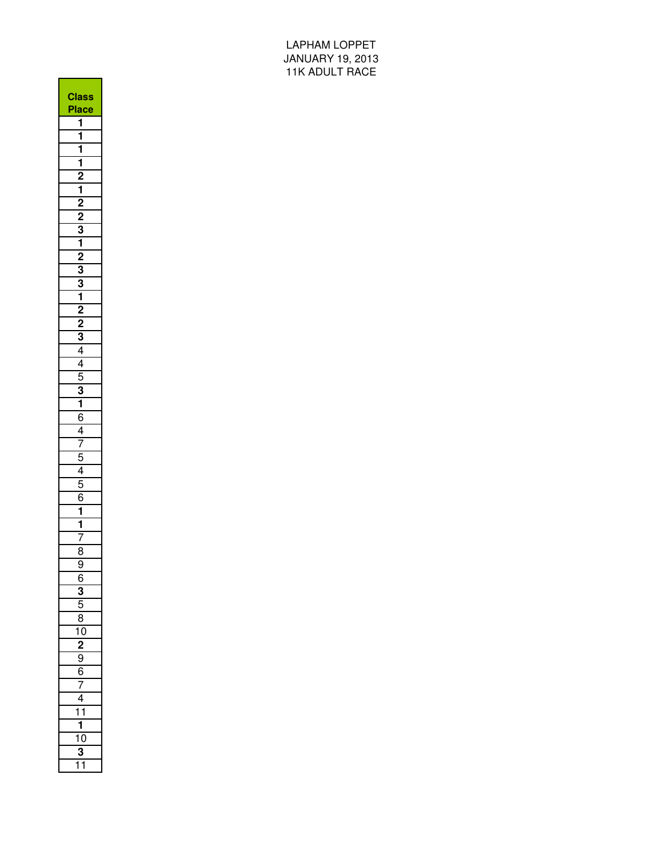LAPHAM LOPPET JANUARY 19, 2013 11K ADULT RACE